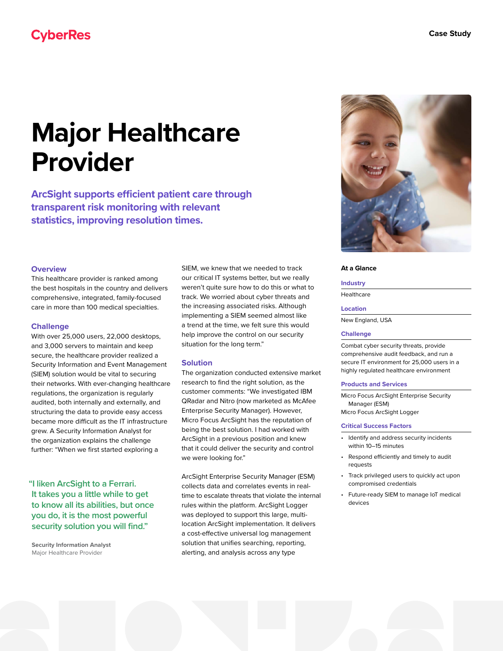# **CyberRes**

# **Major Healthcare Provider**

**ArcSight supports efficient patient care through transparent risk monitoring with relevant statistics, improving resolution times.**

# **Overview**

This healthcare provider is ranked among the best hospitals in the country and delivers comprehensive, integrated, family-focused care in more than 100 medical specialties.

### **Challenge**

With over 25,000 users, 22,000 desktops, and 3,000 servers to maintain and keep secure, the healthcare provider realized a Security Information and Event Management (SIEM) solution would be vital to securing their networks. With ever-changing healthcare regulations, the organization is regularly audited, both internally and externally, and structuring the data to provide easy access became more difficult as the IT infrastructure grew. A Security Information Analyst for the organization explains the challenge further: "When we first started exploring a

**"I liken ArcSight to a Ferrari. It takes you a little while to get to know all its abilities, but once you do, it is the most powerful security solution you will find."**

**Security Information Analyst** Major Healthcare Provider

SIEM, we knew that we needed to track our critical IT systems better, but we really weren't quite sure how to do this or what to track. We worried about cyber threats and the increasing associated risks. Although implementing a SIEM seemed almost like a trend at the time, we felt sure this would help improve the control on our security situation for the long term."

## **Solution**

The organization conducted extensive market research to find the right solution, as the customer comments: "We investigated IBM QRadar and Nitro (now marketed as McAfee Enterprise Security Manager). However, Micro Focus ArcSight has the reputation of being the best solution. I had worked with ArcSight in a previous position and knew that it could deliver the security and control we were looking for."

ArcSight Enterprise Security Manager (ESM) collects data and correlates events in realtime to escalate threats that violate the internal rules within the platform. ArcSight Logger was deployed to support this large, multilocation ArcSight implementation. It delivers a cost-effective universal log management solution that unifies searching, reporting, alerting, and analysis across any type



#### **At a Glance**

#### **Industry**

Healthcare

# **Location**

New England, USA

# **Challenge**

Combat cyber security threats, provide comprehensive audit feedback, and run a secure IT environment for 25,000 users in a highly regulated healthcare environment

#### **Products and Services**

Micro Focus ArcSight Enterprise Security Manager (ESM) Micro Focus ArcSight Logger

#### **Critical Success Factors**

- Identify and address security incidents within 10–15 minutes
- Respond efficiently and timely to audit requests
- Track privileged users to quickly act upon compromised credentials
- Future-ready SIEM to manage IoT medical devices